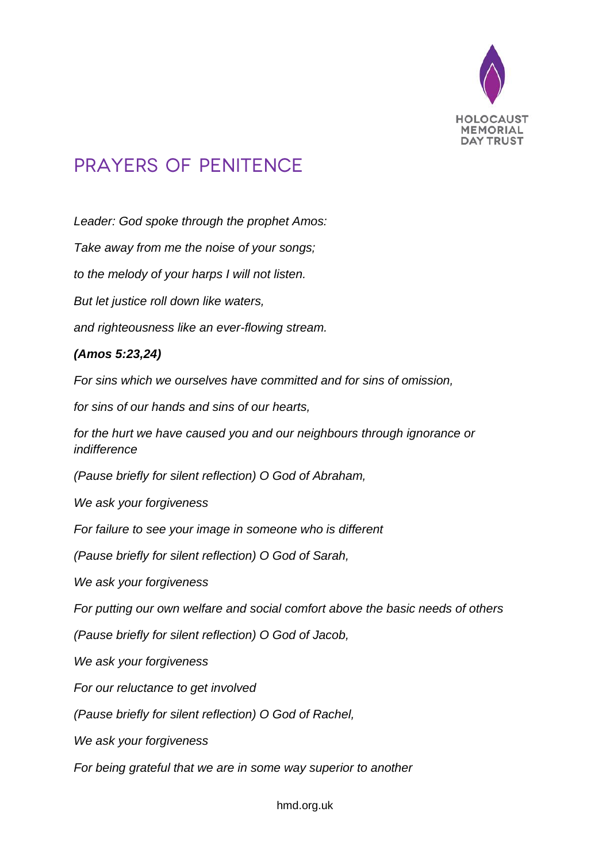

## PRAYERS OF PENITENCE

*Leader: God spoke through the prophet Amos:*

*Take away from me the noise of your songs;*

*to the melody of your harps I will not listen.*

*But let justice roll down like waters,*

*and righteousness like an ever-flowing stream.*

## *(Amos 5:23,24)*

*For sins which we ourselves have committed and for sins of omission,*

*for sins of our hands and sins of our hearts,*

*for the hurt we have caused you and our neighbours through ignorance or indifference*

*(Pause briefly for silent reflection) O God of Abraham,*

*We ask your forgiveness*

*For failure to see your image in someone who is different*

*(Pause briefly for silent reflection) O God of Sarah,*

*We ask your forgiveness*

*For putting our own welfare and social comfort above the basic needs of others*

*(Pause briefly for silent reflection) O God of Jacob,*

*We ask your forgiveness*

*For our reluctance to get involved*

*(Pause briefly for silent reflection) O God of Rachel,*

*We ask your forgiveness*

*For being grateful that we are in some way superior to another*

hmd.org.uk